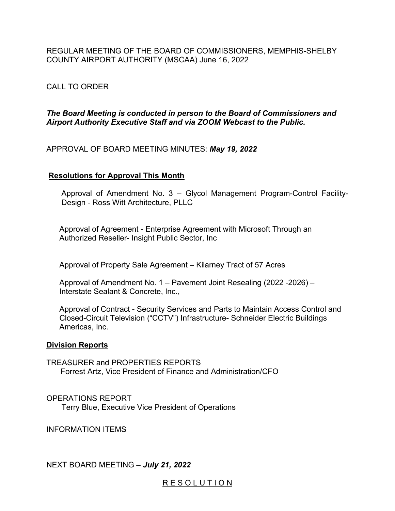REGULAR MEETING OF THE BOARD OF COMMISSIONERS, MEMPHIS-SHELBY COUNTY AIRPORT AUTHORITY (MSCAA) June 16, 2022

# CALL TO ORDER

# *The Board Meeting is conducted in person to the Board of Commissioners and Airport Authority Executive Staff and via ZOOM Webcast to the Public.*

APPROVAL OF BOARD MEETING MINUTES: *May 19, 2022*

# **Resolutions for Approval This Month**

Approval of Amendment No. 3 – Glycol Management Program-Control Facility-Design - Ross Witt Architecture, PLLC

 Approval of Agreement - Enterprise Agreement with Microsoft Through an Authorized Reseller- Insight Public Sector, Inc

Approval of Property Sale Agreement – Kilarney Tract of 57 Acres

 Approval of Amendment No. 1 – Pavement Joint Resealing (2022 -2026) – Interstate Sealant & Concrete, Inc.,

 Approval of Contract - Security Services and Parts to Maintain Access Control and Closed-Circuit Television ("CCTV") Infrastructure- Schneider Electric Buildings Americas, Inc.

## **Division Reports**

TREASURER and PROPERTIES REPORTS Forrest Artz, Vice President of Finance and Administration/CFO

OPERATIONS REPORT Terry Blue, Executive Vice President of Operations

INFORMATION ITEMS

NEXT BOARD MEETING – *July 21, 2022* 

# RESOLUTION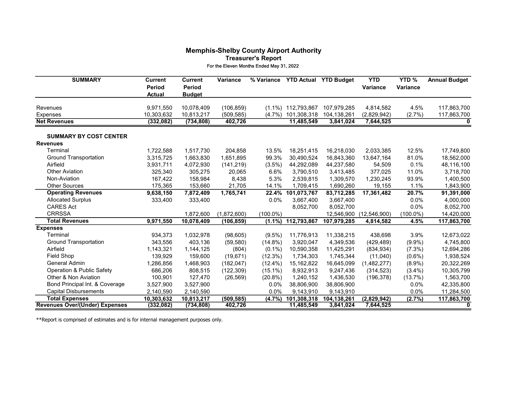### Memphis-Shelby County Airport Authority Treasurer's Report For the Eleven Months Ended May 31, 2022

| <b>SUMMARY</b>                        | <b>Current</b><br>Period<br><b>Actual</b> | <b>Current</b><br><b>Period</b><br><b>Budget</b> | Variance                 | % Variance  | <b>YTD Actual</b>                    | <b>YTD Budget</b>          | <b>YTD</b><br><b>Variance</b> | YTD%<br><b>Variance</b> | <b>Annual Budget</b>       |
|---------------------------------------|-------------------------------------------|--------------------------------------------------|--------------------------|-------------|--------------------------------------|----------------------------|-------------------------------|-------------------------|----------------------------|
| Revenues                              |                                           |                                                  |                          |             |                                      |                            |                               |                         |                            |
| <b>Expenses</b>                       | 9,971,550<br>10,303,632                   | 10,078,409<br>10,813,217                         | (106, 859)<br>(509, 585) | $(4.7\%)$   | $(1.1\%)$ 112,793,867<br>101,308,318 | 107,979,285<br>104,138,261 | 4,814,582<br>(2,829,942)      | 4.5%<br>(2.7%)          | 117,863,700<br>117,863,700 |
| <b>Net Revenues</b>                   | (332, 082)                                | (734, 808)                                       | 402,726                  |             | 11,485,549                           | 3,841,024                  | 7,644,525                     |                         | 0                          |
|                                       |                                           |                                                  |                          |             |                                      |                            |                               |                         |                            |
| <b>SUMMARY BY COST CENTER</b>         |                                           |                                                  |                          |             |                                      |                            |                               |                         |                            |
| <b>Revenues</b>                       |                                           |                                                  |                          |             |                                      |                            |                               |                         |                            |
| Terminal                              | 1,722,588                                 | 1,517,730                                        | 204,858                  | 13.5%       | 18,251,415                           | 16,218,030                 | 2,033,385                     | 12.5%                   | 17,749,800                 |
| <b>Ground Transportation</b>          | 3,315,725                                 | 1,663,830                                        | 1,651,895                | 99.3%       | 30,490,524                           | 16,843,360                 | 13,647,164                    | 81.0%                   | 18,562,000                 |
| Airfield                              | 3,931,711                                 | 4,072,930                                        | (141, 219)               | $(3.5\%)$   | 44,292,089                           | 44,237,580                 | 54,509                        | 0.1%                    | 48,116,100                 |
| <b>Other Aviation</b>                 | 325,340                                   | 305,275                                          | 20,065                   | 6.6%        | 3,790,510                            | 3,413,485                  | 377,025                       | 11.0%                   | 3,718,700                  |
| Non-Aviation                          | 167,422                                   | 158,984                                          | 8,438                    | 5.3%        | 2,539,815                            | 1,309,570                  | 1,230,245                     | 93.9%                   | 1,400,500                  |
| <b>Other Sources</b>                  | 175,365                                   | 153,660                                          | 21,705                   | 14.1%       | 1,709,415                            | 1,690,260                  | 19,155                        | 1.1%                    | 1,843,900                  |
| <b>Operating Revenues</b>             | 9,638,150                                 | 7,872,409                                        | 1,765,741                | 22.4%       | 101,073,767                          | 83,712,285                 | 17,361,482                    | 20.7%                   | 91,391,000                 |
| <b>Allocated Surplus</b>              | 333,400                                   | 333,400                                          |                          | 0.0%        | 3,667,400                            | 3,667,400                  |                               | $0.0\%$                 | 4,000,000                  |
| <b>CARES Act</b>                      |                                           |                                                  |                          |             | 8,052,700                            | 8,052,700                  |                               | 0.0%                    | 8,052,700                  |
| <b>CRRSSA</b>                         |                                           | 1,872,600                                        | (1,872,600)              | $(100.0\%)$ |                                      | 12,546,900                 | (12, 546, 900)                | $(100.0\%)$             | 14,420,000                 |
| <b>Total Revenues</b>                 | 9,971,550                                 | 10,078,409                                       | (106, 859)               | $(1.1\%)$   | 112,793,867                          | 107,979,285                | 4,814,582                     | 4.5%                    | 117,863,700                |
| <b>Expenses</b>                       |                                           |                                                  |                          |             |                                      |                            |                               |                         |                            |
| Terminal                              | 934,373                                   | 1,032,978                                        | (98, 605)                | $(9.5\%)$   | 11,776,913                           | 11,338,215                 | 438,698                       | 3.9%                    | 12,673,022                 |
| <b>Ground Transportation</b>          | 343,556                                   | 403,136                                          | (59, 580)                | $(14.8\%)$  | 3,920,047                            | 4,349,536                  | (429, 489)                    | $(9.9\%)$               | 4,745,800                  |
| Airfield                              | 1,143,321                                 | 1,144,125                                        | (804)                    | $(0.1\%)$   | 10,590,358                           | 11,425,291                 | (834, 934)                    | $(7.3\%)$               | 12,694,286                 |
| <b>Field Shop</b>                     | 139,929                                   | 159,600                                          | (19, 671)                | (12.3%)     | 1,734,303                            | 1,745,344                  | (11,040)                      | $(0.6\%)$               | 1,938,524                  |
| General Admin                         | 1,286,856                                 | 1,468,903                                        | (182, 047)               | $(12.4\%)$  | 15,162,822                           | 16,645,099                 | (1,482,277)                   | $(8.9\%)$               | 20,322,269                 |
| <b>Operation &amp; Public Safety</b>  | 686,206                                   | 808,515                                          | (122, 309)               | $(15.1\%)$  | 8,932,913                            | 9,247,436                  | (314, 523)                    | $(3.4\%)$               | 10,305,799                 |
| Other & Non Aviation                  | 100,901                                   | 127,470                                          | (26, 569)                | $(20.8\%)$  | 1,240,152                            | 1,436,530                  | (196, 378)                    | (13.7%)                 | 1,563,700                  |
| Bond Principal Int. & Coverage        | 3,527,900                                 | 3,527,900                                        |                          | 0.0%        | 38,806,900                           | 38,806,900                 |                               | $0.0\%$                 | 42,335,800                 |
| <b>Capital Disbursements</b>          | 2,140,590                                 | 2,140,590                                        |                          | 0.0%        | 9,143,910                            | 9,143,910                  |                               | 0.0%                    | 11,284,500                 |
| <b>Total Expenses</b>                 | 10,303,632                                | 10,813,217                                       | (509, 585)               | $(4.7\%)$   | 101,308,318                          | 104,138,261                | (2,829,942)                   | (2.7%)                  | 117,863,700                |
| <b>Revenues Over/(Under) Expenses</b> | (332,082)                                 | (734, 808)                                       | 402,726                  |             | 11,485,549                           | 3,841,024                  | 7,644,525                     |                         | 0                          |

\*\*Report is comprised of estimates and is for internal management purposes only.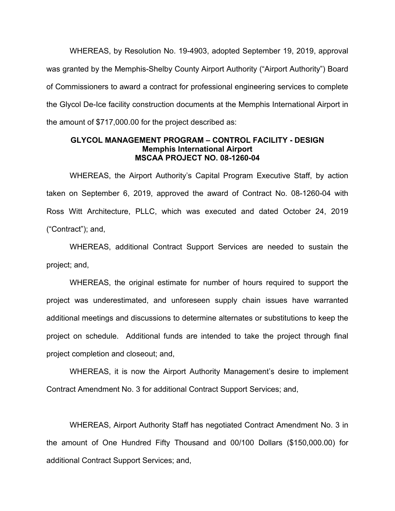WHEREAS, by Resolution No. 19-4903, adopted September 19, 2019, approval was granted by the Memphis-Shelby County Airport Authority ("Airport Authority") Board of Commissioners to award a contract for professional engineering services to complete the Glycol De-Ice facility construction documents at the Memphis International Airport in the amount of \$717,000.00 for the project described as:

## **GLYCOL MANAGEMENT PROGRAM – CONTROL FACILITY - DESIGN Memphis International Airport MSCAA PROJECT NO. 08-1260-04**

WHEREAS, the Airport Authority's Capital Program Executive Staff, by action taken on September 6, 2019, approved the award of Contract No. 08-1260-04 with Ross Witt Architecture, PLLC, which was executed and dated October 24, 2019 ("Contract"); and,

WHEREAS, additional Contract Support Services are needed to sustain the project; and,

WHEREAS, the original estimate for number of hours required to support the project was underestimated, and unforeseen supply chain issues have warranted additional meetings and discussions to determine alternates or substitutions to keep the project on schedule. Additional funds are intended to take the project through final project completion and closeout; and,

WHEREAS, it is now the Airport Authority Management's desire to implement Contract Amendment No. 3 for additional Contract Support Services; and,

WHEREAS, Airport Authority Staff has negotiated Contract Amendment No. 3 in the amount of One Hundred Fifty Thousand and 00/100 Dollars (\$150,000.00) for additional Contract Support Services; and,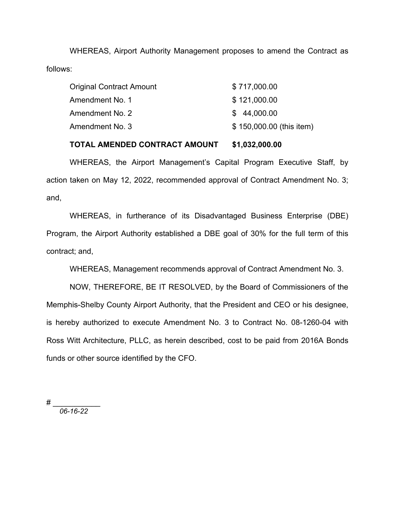WHEREAS, Airport Authority Management proposes to amend the Contract as follows:

| Original Contract Amount | \$717,000.00             |  |  |  |  |
|--------------------------|--------------------------|--|--|--|--|
| Amendment No. 1          | \$121,000.00             |  |  |  |  |
| Amendment No. 2          | \$44,000.00              |  |  |  |  |
| Amendment No. 3          | \$150,000.00 (this item) |  |  |  |  |

## **TOTAL AMENDED CONTRACT AMOUNT \$1,032,000.00**

WHEREAS, the Airport Management's Capital Program Executive Staff, by action taken on May 12, 2022, recommended approval of Contract Amendment No. 3; and,

WHEREAS, in furtherance of its Disadvantaged Business Enterprise (DBE) Program, the Airport Authority established a DBE goal of 30% for the full term of this contract; and,

WHEREAS, Management recommends approval of Contract Amendment No. 3.

NOW, THEREFORE, BE IT RESOLVED, by the Board of Commissioners of the Memphis-Shelby County Airport Authority, that the President and CEO or his designee, is hereby authorized to execute Amendment No. 3 to Contract No. 08-1260-04 with Ross Witt Architecture, PLLC, as herein described, cost to be paid from 2016A Bonds funds or other source identified by the CFO.

# \_\_\_\_\_\_\_\_\_\_\_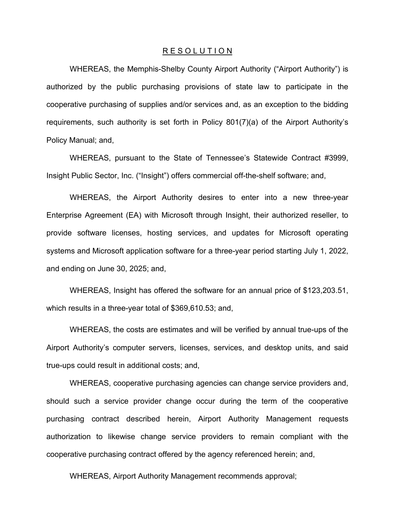WHEREAS, the Memphis-Shelby County Airport Authority ("Airport Authority") is authorized by the public purchasing provisions of state law to participate in the cooperative purchasing of supplies and/or services and, as an exception to the bidding requirements, such authority is set forth in Policy 801(7)(a) of the Airport Authority's Policy Manual; and,

WHEREAS, pursuant to the State of Tennessee's Statewide Contract #3999, Insight Public Sector, Inc. ("Insight") offers commercial off-the-shelf software; and,

WHEREAS, the Airport Authority desires to enter into a new three-year Enterprise Agreement (EA) with Microsoft through Insight, their authorized reseller, to provide software licenses, hosting services, and updates for Microsoft operating systems and Microsoft application software for a three-year period starting July 1, 2022, and ending on June 30, 2025; and,

WHEREAS, Insight has offered the software for an annual price of \$123,203.51, which results in a three-year total of \$369,610.53; and,

 WHEREAS, the costs are estimates and will be verified by annual true-ups of the Airport Authority's computer servers, licenses, services, and desktop units, and said true-ups could result in additional costs; and,

WHEREAS, cooperative purchasing agencies can change service providers and, should such a service provider change occur during the term of the cooperative purchasing contract described herein, Airport Authority Management requests authorization to likewise change service providers to remain compliant with the cooperative purchasing contract offered by the agency referenced herein; and,

WHEREAS, Airport Authority Management recommends approval;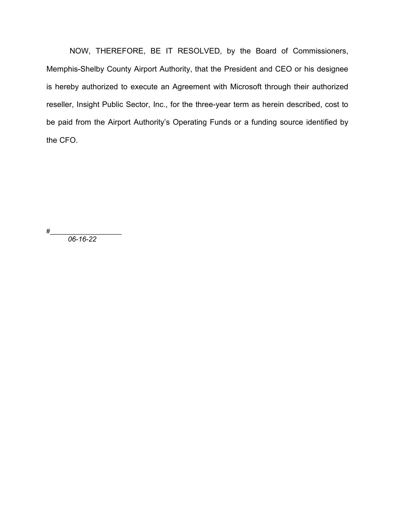NOW, THEREFORE, BE IT RESOLVED, by the Board of Commissioners, Memphis-Shelby County Airport Authority, that the President and CEO or his designee is hereby authorized to execute an Agreement with Microsoft through their authorized reseller, Insight Public Sector, Inc., for the three-year term as herein described, cost to be paid from the Airport Authority's Operating Funds or a funding source identified by the CFO.

#\_\_\_\_\_\_\_\_\_\_\_\_\_\_\_\_\_\_\_\_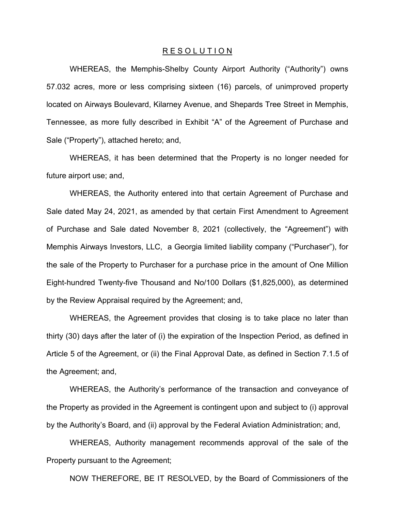WHEREAS, the Memphis-Shelby County Airport Authority ("Authority") owns 57.032 acres, more or less comprising sixteen (16) parcels, of unimproved property located on Airways Boulevard, Kilarney Avenue, and Shepards Tree Street in Memphis, Tennessee, as more fully described in Exhibit "A" of the Agreement of Purchase and Sale ("Property"), attached hereto; and,

WHEREAS, it has been determined that the Property is no longer needed for future airport use; and,

WHEREAS, the Authority entered into that certain Agreement of Purchase and Sale dated May 24, 2021, as amended by that certain First Amendment to Agreement of Purchase and Sale dated November 8, 2021 (collectively, the "Agreement") with Memphis Airways Investors, LLC, a Georgia limited liability company ("Purchaser"), for the sale of the Property to Purchaser for a purchase price in the amount of One Million Eight-hundred Twenty-five Thousand and No/100 Dollars (\$1,825,000), as determined by the Review Appraisal required by the Agreement; and,

WHEREAS, the Agreement provides that closing is to take place no later than thirty (30) days after the later of (i) the expiration of the Inspection Period, as defined in Article 5 of the Agreement, or (ii) the Final Approval Date, as defined in Section 7.1.5 of the Agreement; and,

WHEREAS, the Authority's performance of the transaction and conveyance of the Property as provided in the Agreement is contingent upon and subject to (i) approval by the Authority's Board, and (ii) approval by the Federal Aviation Administration; and,

WHEREAS, Authority management recommends approval of the sale of the Property pursuant to the Agreement;

NOW THEREFORE, BE IT RESOLVED, by the Board of Commissioners of the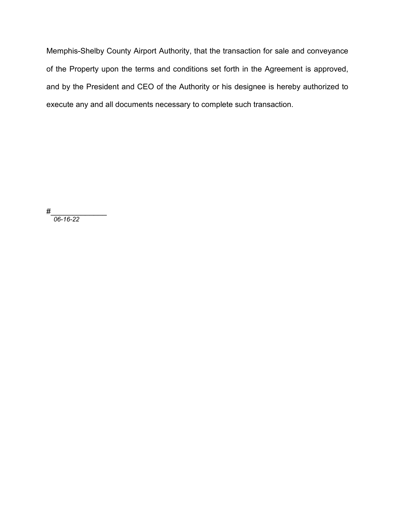Memphis-Shelby County Airport Authority, that the transaction for sale and conveyance of the Property upon the terms and conditions set forth in the Agreement is approved, and by the President and CEO of the Authority or his designee is hereby authorized to execute any and all documents necessary to complete such transaction.

#\_\_\_\_\_\_\_\_\_\_\_\_\_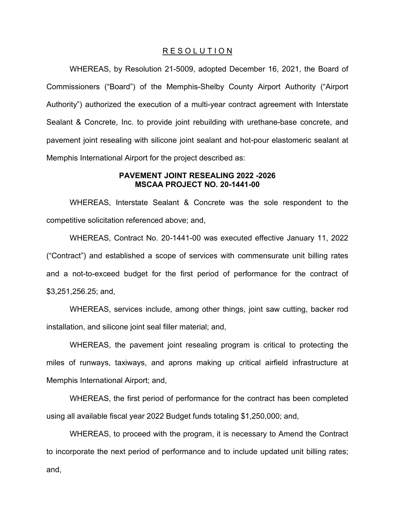WHEREAS, by Resolution 21-5009, adopted December 16, 2021, the Board of Commissioners ("Board") of the Memphis-Shelby County Airport Authority ("Airport Authority") authorized the execution of a multi-year contract agreement with Interstate Sealant & Concrete, Inc. to provide joint rebuilding with urethane-base concrete, and pavement joint resealing with silicone joint sealant and hot-pour elastomeric sealant at Memphis International Airport for the project described as:

## **PAVEMENT JOINT RESEALING 2022 -2026 MSCAA PROJECT NO. 20-1441-00**

WHEREAS, Interstate Sealant & Concrete was the sole respondent to the competitive solicitation referenced above; and,

WHEREAS, Contract No. 20-1441-00 was executed effective January 11, 2022 ("Contract") and established a scope of services with commensurate unit billing rates and a not-to-exceed budget for the first period of performance for the contract of \$3,251,256.25; and,

WHEREAS, services include, among other things, joint saw cutting, backer rod installation, and silicone joint seal filler material; and,

WHEREAS, the pavement joint resealing program is critical to protecting the miles of runways, taxiways, and aprons making up critical airfield infrastructure at Memphis International Airport; and,

WHEREAS, the first period of performance for the contract has been completed using all available fiscal year 2022 Budget funds totaling \$1,250,000; and,

WHEREAS, to proceed with the program, it is necessary to Amend the Contract to incorporate the next period of performance and to include updated unit billing rates; and,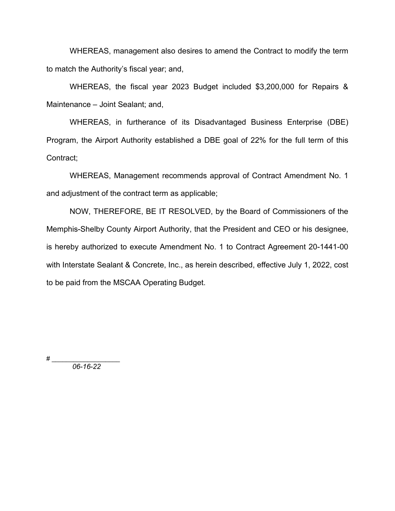WHEREAS, management also desires to amend the Contract to modify the term to match the Authority's fiscal year; and,

WHEREAS, the fiscal year 2023 Budget included \$3,200,000 for Repairs & Maintenance – Joint Sealant; and,

WHEREAS, in furtherance of its Disadvantaged Business Enterprise (DBE) Program, the Airport Authority established a DBE goal of 22% for the full term of this Contract;

WHEREAS, Management recommends approval of Contract Amendment No. 1 and adjustment of the contract term as applicable;

NOW, THEREFORE, BE IT RESOLVED, by the Board of Commissioners of the Memphis-Shelby County Airport Authority, that the President and CEO or his designee, is hereby authorized to execute Amendment No. 1 to Contract Agreement 20-1441-00 with Interstate Sealant & Concrete, Inc., as herein described, effective July 1, 2022, cost to be paid from the MSCAA Operating Budget.

# \_\_\_\_\_\_\_\_\_\_\_\_\_\_\_\_\_\_\_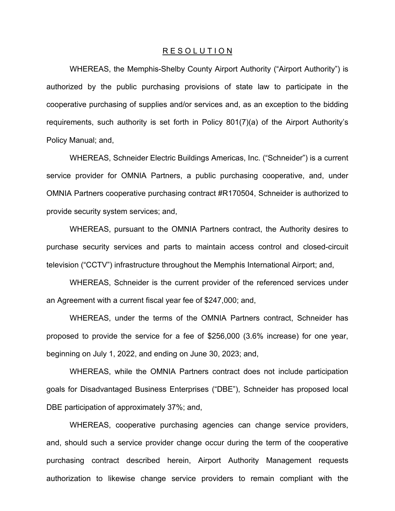WHEREAS, the Memphis-Shelby County Airport Authority ("Airport Authority") is authorized by the public purchasing provisions of state law to participate in the cooperative purchasing of supplies and/or services and, as an exception to the bidding requirements, such authority is set forth in Policy 801(7)(a) of the Airport Authority's Policy Manual; and,

WHEREAS, Schneider Electric Buildings Americas, Inc. ("Schneider") is a current service provider for OMNIA Partners, a public purchasing cooperative, and, under OMNIA Partners cooperative purchasing contract #R170504, Schneider is authorized to provide security system services; and,

WHEREAS, pursuant to the OMNIA Partners contract, the Authority desires to purchase security services and parts to maintain access control and closed-circuit television ("CCTV") infrastructure throughout the Memphis International Airport; and,

WHEREAS, Schneider is the current provider of the referenced services under an Agreement with a current fiscal year fee of \$247,000; and,

WHEREAS, under the terms of the OMNIA Partners contract, Schneider has proposed to provide the service for a fee of \$256,000 (3.6% increase) for one year, beginning on July 1, 2022, and ending on June 30, 2023; and,

WHEREAS, while the OMNIA Partners contract does not include participation goals for Disadvantaged Business Enterprises ("DBE"), Schneider has proposed local DBE participation of approximately 37%; and,

WHEREAS, cooperative purchasing agencies can change service providers, and, should such a service provider change occur during the term of the cooperative purchasing contract described herein, Airport Authority Management requests authorization to likewise change service providers to remain compliant with the